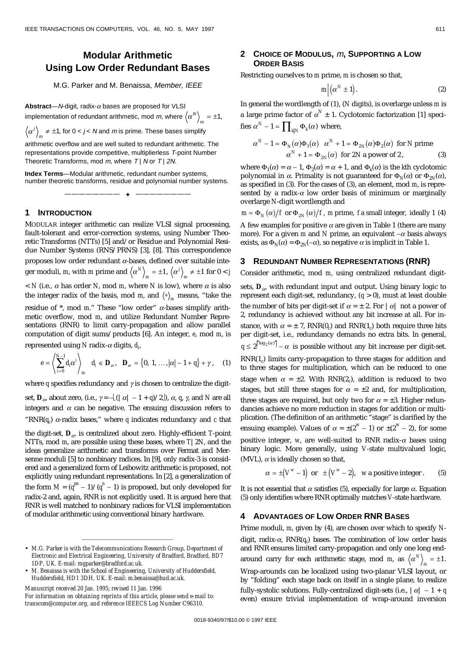# **Modular Arithmetic Using Low Order Redundant Bases**

M.G. Parker and M. Benaissa, Member, IEEE

**Abstract**—N-digit, radix- $\alpha$  bases are proposed for VLSI implementation of redundant arithmetic, mod *m*, where  $\left\langle \alpha^N \right\rangle_m = \pm 1,$ 

 $\alpha^{j}\Big\rangle_{m}\neq\pm$ 1, for 0 < *j* < *N* and *m* is prime. These bases simplify

arithmetic overflow and are well suited to redundant arithmetic. The representations provide competitive, multiplierless T-point Number Theoretic Transforms, mod  $m$ , where  $T \mid N$  or  $T \mid 2N$ .

**Index Terms**—Modular arithmetic, redundant number systems, number theoretic transforms, residue and polynomial number systems.

———————— ✦ ————————

## **1 INTRODUCTION**

MODULAR integer arithmetic can realize VLSI signal processing, fault-tolerant and error-correction systems, using Number Theoretic Transforms (NTTs) [5] and/or Residue and Polynomial Residue Number Systems (RNS/PRNS) [3], [8]. This correspondence proposes low order redundant *a*-bases, defined over suitable integer moduli, *m*, with *m* prime and  $\langle \alpha^N \rangle_m = \pm 1$ ,  $\langle \alpha^j \rangle_m \neq \pm 1$  for  $0 < j$  $<$  *N* (i.e.,  $\alpha$  has order *N*, mod *m*, where *N* is low), where  $\alpha$  is also the integer radix of the basis, mod *m*, and  $\langle * \rangle_m$  means, "take the

residue of \*, mod *m*." These "low order" *a*-bases simplify arithmetic overflow, mod *m*, and utilize Redundant Number Representations (RNR) to limit carry-propagation and allow parallel computation of digit sums/products [6]. An integer, *e*, mod *m*, is

represented using *N* radix-*a* digits, *di* ,

$$
e = \left\langle \sum_{i=0}^{N-1} d_i \alpha^i \right\rangle_m d_i \in \mathbf{D}_{\alpha}, \quad \mathbf{D}_{\alpha} = \left\{0, 1, ..., |\alpha| - 1 + q\right\} + \gamma, \quad (1)
$$

where  $q$  specifies redundancy and  $\gamma$  is chosen to centralize the digitset,  $\mathbf{D}_{\alpha}$ , about zero, (i.e.,  $\gamma = \frac{1}{2}(|\alpha| - 1 + q)/2$ ),  $\alpha$ , q,  $\gamma$ , and N are all integers and  $\alpha$  can be negative. The ensuing discussion refers to "RNR $(q_c)$   $\alpha$ -radix bases," where  $q$  indicates redundancy and  $c$  that

the digit-set,  $D_{\alpha}$  is centralized about zero. Highly-efficient *T*-point NTTs, mod *m*, are possible using these bases, where *T*|2*N*, and the ideas generalize arithmetic and transforms over Fermat and Mersenne moduli [5] to nonbinary radices. In [9], only radix-3 is considered and a generalized form of Leibowitz arithmetic is proposed, not explicitly using redundant representations. In [2], a generalization of the form  $M = (q^{pn} - 1)/(q^{n} - 1)$  is proposed, but only developed for radix-2 and, again, RNR is not explicitly used. It is argued here that RNR is well matched to nonbinary radices for VLSI implementation of modular arithmetic using conventional binary hardware.

————————————————

*Manuscript received 20 Jan. 1995; revised 11 Jan. 1996 For information on obtaining reprints of this article, please send e-mail to: transcom@computer.org, and reference IEEECS Log Number C96310.*

## **2 CHOICE OF MODULUS,** m**, SUPPORTING A LOW ORDER BASIS**

Restricting ourselves to *m* prime, *m* is chosen so that,

$$
m\Big|\Big(\alpha^N \pm 1\Big). \hspace{1.5cm} (2)
$$

In general the wordlength of (1), (*N* digits), is overlarge unless *m* is a large prime factor of  $\alpha^N \pm 1$ . Cyclotomic factorization [1] specifies  $\alpha^N - 1 = \prod_{k|N} \Phi_k(\alpha)$  where,

$$
\alpha^{N} - 1 = \Phi_{N}(\alpha)\Phi_{1}(\alpha) \quad \alpha^{N} + 1 = \Phi_{2N}(\alpha)\Phi_{2}(\alpha) \text{ for } N \text{ prime}
$$
  
 
$$
\alpha^{N} + 1 = \Phi_{2N}(\alpha) \text{ for } 2N \text{ a power of } 2,
$$
 (3)

where  $\Phi_1(\alpha) = \alpha - 1$ ,  $\Phi_2(\alpha) = \alpha + 1$ , and  $\Phi_k(\alpha)$  is the *k*th cyclotomic polynomial in  $\alpha$ . Primality is not guaranteed for  $\Phi_N(\alpha)$  or  $\Phi_{2N}(\alpha)$ , as specified in (3). For the cases of (3), an element, mod *m*, is represented by a radix- $\alpha$  low order basis of minimum or marginally overlarge *N*-digit wordlength and

 $m = \Phi_{N}(\alpha)/f$  or  $\Phi_{2N}(\alpha)/f$ , *m* prime, f a small integer, ideally 1 (4)

A few examples for positive  $\alpha$  are given in Table 1 (there are many more). For a given *m* and *N* prime, an equivalent  $-\alpha$  basis always exists, as  $\Phi_N(\alpha) = \Phi_{2N}(-\alpha)$ , so negative  $\alpha$  is implicit in Table 1.

## **3 REDUNDANT NUMBER REPRESENTATIONS (RNR)**

Consider arithmetic, mod *m*, using centralized redundant digit-

sets,  $D_{\alpha}$  with redundant input and output. Using binary logic to represent each digit-set, redundancy, (*q* > 0), must at least double the number of bits per digit-set if  $\alpha = \pm 2$ . For  $|\alpha|$  not a power of 2, redundancy is achieved without any bit increase at all. For instance, with  $\alpha = \pm 7$ , RNR(0<sub>c</sub>) and RNR(1<sub>c</sub>) both require three bits per digit-set, i.e., redundancy demands no extra bits. In general,  $q \leq 2^{\lceil \log_2(\alpha) \rceil} - \alpha$  is possible without any bit increase per digit-set. RNR(1<sub>c</sub>) limits carry-propagation to three stages for addition and to three stages for multiplication, which can be reduced to one stage when  $\alpha = \pm 2$ . With RNR(2<sub>c</sub>), addition is reduced to two stages, but still three stages for  $\alpha = \pm 2$  and, for multiplication, three stages are required, but only two for  $\alpha = \pm 3$ . Higher redundancies achieve no more reduction in stages for addition or multiplication. (The definition of an arithmetic "stage" is clarified by the ensuing example). Values of  $\alpha = \pm (2^w - 1)$  or  $\pm (2^w - 2)$ , for some positive integer, *w*, are well-suited to RNR radix- $\alpha$  bases using binary logic. More generally, using *V*-state multivalued logic, (MVL),  $\alpha$  is ideally chosen so that,

$$
\alpha = \pm (V^w - 1) \text{ or } \pm (V^w - 2), \text{ w a positive integer.}
$$
 (5)

It is not essential that  $\alpha$  satisfies (5), especially for large  $\alpha$ . Equation (5) only identifies where RNR optimally matches *V*-state hardware.

## **4 ADVANTAGES OF LOW ORDER RNR BASES**

Prime moduli, *m*, given by (4), are chosen over which to specify *N*digit, radix- $\alpha$ , RNR( $q_c$ ) bases. The combination of low order basis and RNR ensures limited carry-propagation and only one long endaround carry for each arithmetic stage, mod *m*, as  $\langle \alpha^N \rangle_m = \pm 1$ . Wrap-arounds can be localized using two-planar VLSI layout, or by "folding" each stage back on itself in a single plane, to realize fully-systolic solutions. Fully-centralized digit-sets (i.e.,  $|\alpha| - 1 + q$ even) ensure trivial implementation of wrap-around inversion

<sup>•</sup> *M.G. Parker is with the Telecommunications Research Group, Department of Electronic and Electrical Engineering, University of Bradford, Bradford, BD7 1DP, UK. E-mail: mgparker@bradford.ac.uk.*

<sup>•</sup> *M. Benaissa is with the School of Engineering, University of Huddersfield, Huddersfield, HD1 3DH, UK. E-mail: m.benaissa@hud.ac.uk.*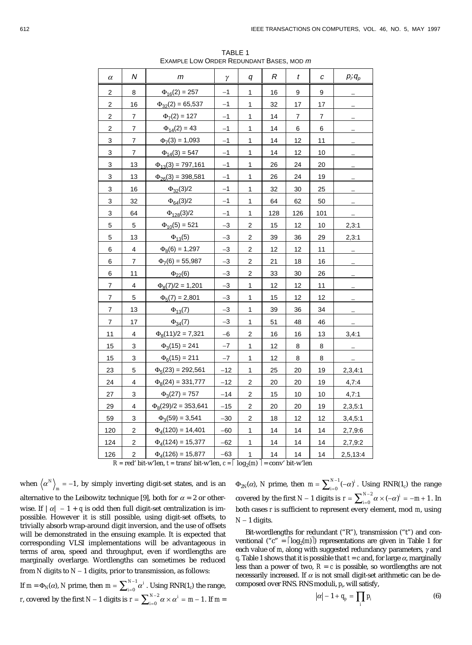| $\alpha$       | N              | m                                | γ     | q                | R   | $\boldsymbol{t}$ | C   | $p_i q_p$ |
|----------------|----------------|----------------------------------|-------|------------------|-----|------------------|-----|-----------|
| 2              | 8              | $\Phi_{16}(2) = 257$             | $-1$  | 1                | 16  | 9                | 9   |           |
| 2              | 16             | $\Phi_{32}(2) = 65,537$          | $-1$  | 1                | 32  | 17               | 17  |           |
| 2              | 7              | $\Phi$ <sub>7</sub> (2) = 127    | $-1$  | 1                | 14  | 7                | 7   |           |
| 2              | 7              | $\Phi_{14}(2) = 43$              | $-1$  | $\mathbf{1}$     | 14  | 6                | 6   |           |
| 3              | $\overline{7}$ | $\Phi$ <sub>7</sub> (3) = 1,093  | $-1$  | 1                | 14  | 12               | 11  |           |
| 3              | 7              | $\Phi_{14}(3) = 547$             | -1    | 1                | 14  | 12               | 10  |           |
| 3              | 13             | $\Phi_{13}(3) = 797,161$         | $-1$  | 1                | 26  | 24               | 20  |           |
| 3              | 13             | $\Phi_{26}(3) = 398,581$         | $-1$  | 1                | 26  | 24               | 19  |           |
| 3              | 16             | $\Phi_{32}(3)/2$                 | $-1$  | $\mathbf{1}$     | 32  | 30               | 25  |           |
| 3              | 32             | $\Phi_{64}(3)/2$                 | $-1$  | 1                | 64  | 62               | 50  |           |
| 3              | 64             | $\Phi_{128}(3)/2$                | $-1$  | 1                | 128 | 126              | 101 |           |
| 5              | 5              | $\Phi_{10}(5) = 521$             | $-3$  | 2                | 15  | 12               | 10  | 2,3:1     |
| 5              | 13             | $\Phi_{13}(5)$                   | -3    | $\mathbf 2$      | 39  | 36               | 29  | 2,3:1     |
| 6              | 4              | $\Phi_8(6) = 1,297$              | $-3$  | $\overline{c}$   | 12  | 12               | 11  |           |
| 6              | 7              | $\Phi$ <sub>7</sub> (6) = 55,987 | $-3$  | $\mathbf 2$      | 21  | 18               | 16  |           |
| 6              | 11             | $\Phi_{22}(6)$                   | $-3$  | $\mathbf 2$      | 33  | 30               | 26  |           |
| 7              | 4              | $\Phi_8(7)/2 = 1,201$            | -3    | 1                | 12  | 12               | 11  |           |
| $\overline{7}$ | 5              | $\Phi_5(7) = 2,801$              | $-3$  | 1                | 15  | 12               | 12  |           |
| 7              | 13             | $\Phi_{13}(7)$                   | $-3$  | 1                | 39  | 36               | 34  |           |
| $\overline{7}$ | 17             | $\Phi_{34}(7)$                   | $-3$  | $\mathbf 1$      | 51  | 48               | 46  |           |
| 11             | 4              | $\Phi_8(11)/2 = 7,321$           | -6    | $\boldsymbol{2}$ | 16  | 16               | 13  | 3,4:1     |
| 15             | 3              | $\Phi_3(15) = 241$               | $-7$  | 1                | 12  | 8                | 8   |           |
| 15             | 3              | $\Phi_6(15) = 211$               | $-7$  | 1                | 12  | 8                | 8   |           |
| 23             | 5              | $\Phi_5(23) = 292,561$           | $-12$ | 1                | 25  | 20               | 19  | 2,3,4:1   |
| 24             | 4              | $\Phi_8(24) = 331,777$           | $-12$ | $\overline{c}$   | 20  | 20               | 19  | 4,7:4     |
| 27             | 3              | $\Phi_3(27) = 757$               | $-14$ | 2                | 15  | 10               | 10  | 4,7:1     |
| 29             | 4              | $\Phi_8(29)/2 = 353,641$         | $-15$ | $\overline{c}$   | 20  | 20               | 19  | 2,3,5:1   |
| 59             | 3              | $\Phi_3(59) = 3,541$             | $-30$ | $\mathbf 2$      | 18  | 12               | 12  | 3,4,5:1   |
| 120            | 2              | $\Phi_4(120) = 14,401$           | -60   | 1                | 14  | 14               | 14  | 2,7,9:6   |
| 124            | 2              | $\Phi_4(124) = 15,377$           | -62   | 1                | 14  | 14               | 14  | 2,7,9:2   |
| 126            | $\overline{c}$ | $\Phi_4(126) = 15,877$           | $-63$ | $\mathbf{1}$     | 14  | 14               | 14  | 2,5,13:4  |

TABLE 1 EXAMPLE LOW ORDER REDUNDANT BASES, MOD <sup>m</sup>

 $R = red'$  bit-w'len,  $t = trans'$  bit-w'len,  $c = \lceil log_2(m) \rceil = conv'$  bit-w'len

when  $\langle \alpha^N \rangle_m = -1$ , by simply inverting digit-set states, and is an alternative to the Leibowitz technique [9], both for  $\alpha = 2$  or otherwise. If  $|\alpha| - 1 + q$  is odd then full digit-set centralization is impossible. However it is still possible, using digit-set offsets, to trivially absorb wrap-around digit inversion, and the use of offsets will be demonstrated in the ensuing example. It is expected that corresponding VLSI implementations will be advantageous in terms of area, speed and throughput, even if wordlengths are marginally overlarge. Wordlengths can sometimes be reduced from *N* digits to *N* - 1 digits, prior to transmission, as follows:

If  $m = \Phi_N(\alpha)$ , *N* prime, then  $m = \sum_{i=0}^{N-1} \alpha^i$  $=\sum_{i=0}^{N-1}\alpha^i$  . Using RNR(1<sub>*c*</sub>) the range, *r*, covered by the first  $N-1$  digits is  $r = \sum_{i=0}^{N-2} \alpha \times \alpha^i = m$  $=\sum_{i=0}^{N-2} \alpha \times \alpha^{i} = m-1$ . If  $m =$ 

 $\Phi_{2N}(\alpha)$ , *N* prime, then  $m = \sum_{i=0}^{N-1} (-\alpha)^i$  $=\sum_{i=0}^{N-1}(-\alpha)^i$ . Using RNR(1<sub>c</sub>) the range covered by the first  $N-1$  digits is  $r = \sum_{i=0}^{N-2} \alpha \times (-\alpha)^i = -m$  $=\sum_{i=0}^{N-2} \alpha \times (-\alpha)^i = -m+1$ . In both cases *r* is sufficient to represent every element, mod *m*, using  $N-1$  digits.

Bit-wordlengths for redundant ("R"), transmission ("t") and conventional ("c" =  $\lceil \log_2(m) \rceil$ ) representations are given in Table 1 for each value of *m*, along with suggested redundancy parameters, *g* and *q*. Table 1 shows that it is possible that  $t = c$  and, for large  $\alpha$ , marginally less than a power of two,  $R = c$  is possible, so wordlengths are not necessarily increased. If  $\alpha$  is not small digit-set arithmetic can be decomposed over RNS. RNS moduli, *pi* , will satisfy,

$$
|\alpha| - 1 + q_p = \prod_i p_i \tag{6}
$$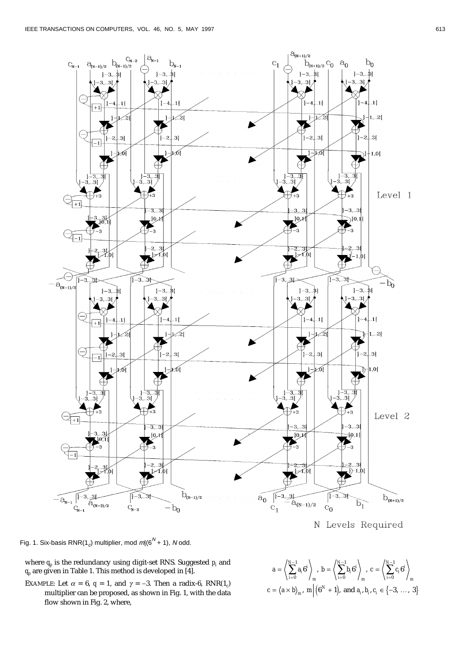

N Levels Required

Fig. 1. Six-basis RNR(1<sub>c</sub>) multiplier, mod  $m/(6^N + 1)$ , N odd.

- where  $q_p$  is the redundancy using digit-set RNS. Suggested  $p_i$  and  $q_p$  are given in Table 1. This method is developed in [4].
- EXAMPLE: Let  $\alpha = 6$ ,  $q = 1$ , and  $\gamma = -3$ . Then a radix-6, RNR(1<sub>c</sub>) multiplier can be proposed, as shown in Fig. 1, with the data flow shown in Fig. 2, where,

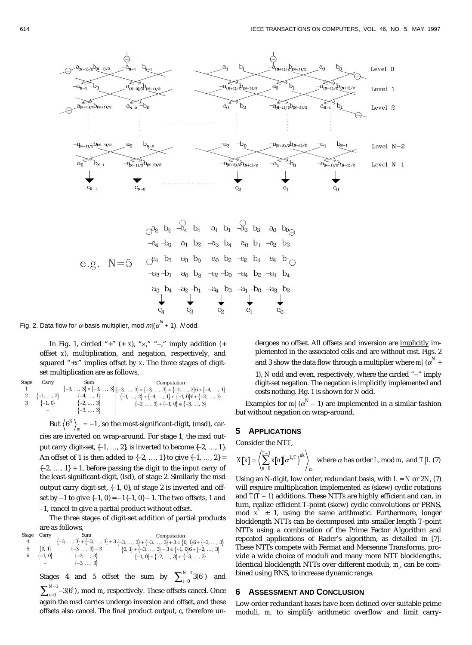

Fig. 2. Data flow for  $\alpha$ -basis multiplier, mod  $m/(\alpha^N + 1)$ , N odd.

In Fig. 1, circled "+"  $(+ x)$ , " $\times$ ," "-," imply addition  $(+$ offset *x*), multiplication, and negation, respectively, and squared "+*x*" implies offset by *x*. The three stages of digitset multiplication are as follows,

| Stage | Carry               | Sum                 | Computation                                                                                                                                                                                                                |
|-------|---------------------|---------------------|----------------------------------------------------------------------------------------------------------------------------------------------------------------------------------------------------------------------------|
|       |                     |                     | $\left\{-3,\,\ldots,\,\,3\right\}\times\left\{-3,\,\ldots,\,\,3\right\}\right \left\{-3,\,\ldots,\,\,3\right\}\times\left\{-3,\,\ldots,\,\,3\right\}\in\left\{-1,\,\ldots,\,\,2\right\}6+\left\{-4,\,\ldots,\,\,1\right\}$ |
|       | $\{-1, \ldots, 2\}$ | $\{-4, \ldots, 1\}$ | $\{-1, \ldots, 2\} + \{-4, \ldots, 1\} \in \{-1, 0\}$ 6 + $\{-2, \ldots, 3\}$                                                                                                                                              |
|       | $\{-1, 0\}$         | $\{-2, \ldots, 3\}$ | $\{-2, , 3\} + \{-1, 0\} \in \{-3, , 3\}$                                                                                                                                                                                  |
|       |                     | $\{-3, \ldots, 3\}$ |                                                                                                                                                                                                                            |

But  $\langle 6^N \rangle_m = -1$ , so the most-significant-digit, (msd), carries are inverted on wrap-around. For stage 1, the msd output carry digit-set,  $\{-1, ..., 2\}$ , is inverted to become  $\{-2, ..., 1\}$ . An offset of 1 is then added to  $\{-2, ..., 1\}$  to give  $\{-1, ..., 2\}$  $\{-2, ..., 1\} + 1$ , before passing the digit to the input carry of the least-significant-digit, (lsd), of stage 2. Similarly the msd output carry digit-set,  $\{-1, 0\}$ , of stage 2 is inverted and offset by  $-1$  to give  $\{-1, 0\} = -1\{-1, 0\} - 1$ . The two offsets, 1 and -1, cancel to give a partial product without offset.

The three stages of digit-set addition of partial products are as follows,

| Stage | Carry                                       | Sum                                         | Sum                                                                  |
|-------|---------------------------------------------|---------------------------------------------|----------------------------------------------------------------------|
| 4     | $\{-3, \ldots, 3\} + \{-3, \ldots, 3\} + 3$ | $\{-3, \ldots, 3\} + \{-3, \ldots, 3\} + 3$ | $\{0, 1\} + \{-3, \ldots, 3\} + 3 \in \{0, 1\} + \{-3, \ldots, 3\}$  |
| 5     | $\{0, 1\}$                                  | $\{-3, \ldots, 3\} - 3$                     | $\{0, 1\} + \{-3, \ldots, 3\} - 3 \in \{-1, 0\} + \{-2, \ldots, 3\}$ |
| 6     | $\{-1, 0\}$                                 | $\{-2, \ldots, 3\}$                         | $\{-1, 0\} + \{-2, \ldots, 3\} \in \{-3, \ldots, 3\}$                |

Stages 4 and 5 offset the sum by  $\sum_{i=0}^{N-1} 3(6^i)$ *N* =  $\sum_{i=0}^{N-1}3(6^i)\quad\text{and}\quad$  $\sum_{i=0}^{N-1} -3(6^i)$  $N^{-1}$  –3( $6^{i}$ ), mod *m*, respectively. These offsets cancel. Once again the msd carries undergo inversion and offset, and these offsets also cancel. The final product output, *c*, therefore undergoes no offset. All offsets and inversion are implicitly implemented in the associated cells and are without cost. Figs. 2 and 3 show the data flow through a multiplier where  $m | (\alpha^N +$ 

1), *N* odd and even, respectively, where the circled "-" imply digit-set negation. The negation is implicitly implemented and costs nothing. Fig. 1 is shown for *N* odd.

Examples for  $m | (\alpha^N - 1)$  are implemented in a similar fashion but without negation on wrap-around.

# **5 APPLICATIONS**

Consider the NTT,  $\sim$ 

$$
X[k] = \left\langle \sum_{n=0}^{T-1} x[n] \left( \alpha^{L/T} \right)^{nk} \right\rangle_m \text{ where } \alpha \text{ has order } L \text{, mod } m \text{, and } T | L \text{ (7)}
$$

Using an *N*-digit, low order, redundant basis, with *L* = *N* or 2*N*, (7) will require multiplication implemented as (skew) cyclic rotations and  $T(T - 1)$  additions. These NTTs are highly efficient and can, in turn, realize efficient *T*-point (skew) cyclic convolutions or PRNS, mod  $x^T \pm 1$ , using the same arithmetic. Furthermore, longer blocklength NTTs can be decomposed into smaller length *T*-point NTTs using a combination of the Prime Factor Algorithm and repeated applications of Rader's algorithm, as detailed in [7]. These NTTs compete with Fermat and Mersenne Transforms, provide a wide choice of moduli and many more NTT blocklengths. Identical blocklength NTTs over different moduli,  $m_{\scriptscriptstyle \hat{p}}$  can be combined using RNS, to increase dynamic range.

# **6 ASSESSMENT AND CONCLUSION**

Low order redundant bases have been defined over suitable prime moduli, *m*, to simplify arithmetic overflow and limit carry-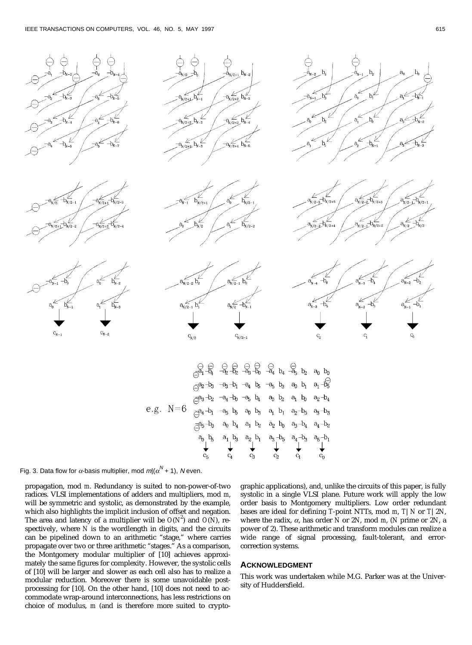

Fig. 3. Data flow for  $\alpha$ -basis multiplier, mod  $m | (\alpha^N + 1)$ , N even.

propagation, mod *m*. Redundancy is suited to non-power-of-two radices. VLSI implementations of adders and multipliers, mod *m*, will be symmetric and systolic, as demonstrated by the example, which also highlights the implicit inclusion of offset and negation. The area and latency of a multiplier will be  $O(N^2)$  and  $O(N)$ , respectively, where *N* is the wordlength in digits, and the circuits can be pipelined down to an arithmetic "stage," where carries propagate over two or three arithmetic "stages." As a comparison, the Montgomery modular multiplier of [10] achieves approximately the same figures for complexity. However, the systolic cells of [10] will be larger and slower as each cell also has to realize a modular reduction. Moreover there is some unavoidable postprocessing for [10]. On the other hand, [10] does not need to accommodate wrap-around interconnections, has less restrictions on choice of modulus, *m* (and is therefore more suited to cryptographic applications), and, unlike the circuits of this paper, is fully systolic in a single VLSI plane. Future work will apply the low order basis to Montgomery multipliers. Low order redundant bases are ideal for defining *T*-point NTTs, mod *m*, *T*|*N* or *T*|2*N*, where the radix, *a*, has order *N* or 2*N*, mod *m*, (*N* prime or 2*N*, a power of 2). These arithmetic and transform modules can realize a wide range of signal processing, fault-tolerant, and errorcorrection systems.

## **ACKNOWLEDGMENT**

This work was undertaken while M.G. Parker was at the University of Huddersfield.